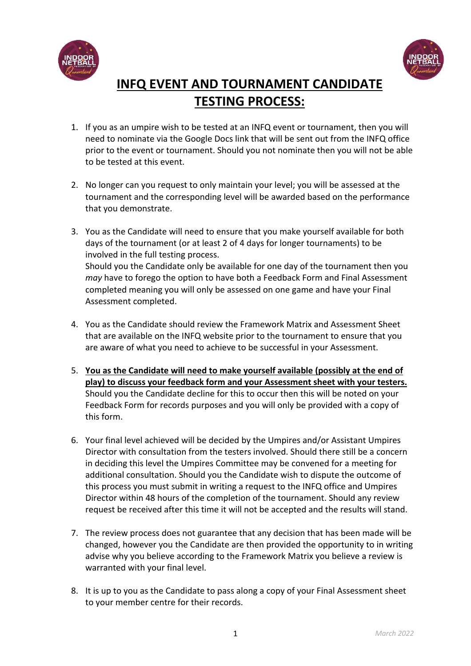



## **INFQ EVENT AND TOURNAMENT CANDIDATE TESTING PROCESS:**

- 1. If you as an umpire wish to be tested at an INFQ event or tournament, then you will need to nominate via the Google Docs link that will be sent out from the INFQ office prior to the event or tournament. Should you not nominate then you will not be able to be tested at this event.
- 2. No longer can you request to only maintain your level; you will be assessed at the tournament and the corresponding level will be awarded based on the performance that you demonstrate.
- 3. You as the Candidate will need to ensure that you make yourself available for both days of the tournament (or at least 2 of 4 days for longer tournaments) to be involved in the full testing process. Should you the Candidate only be available for one day of the tournament then you *may* have to forego the option to have both a Feedback Form and Final Assessment completed meaning you will only be assessed on one game and have your Final Assessment completed.
- 4. You as the Candidate should review the Framework Matrix and Assessment Sheet that are available on the INFQ website prior to the tournament to ensure that you are aware of what you need to achieve to be successful in your Assessment.
- 5. **You as the Candidate will need to make yourself available (possibly at the end of play) to discuss your feedback form and your Assessment sheet with your testers.** Should you the Candidate decline for this to occur then this will be noted on your Feedback Form for records purposes and you will only be provided with a copy of this form.
- 6. Your final level achieved will be decided by the Umpires and/or Assistant Umpires Director with consultation from the testers involved. Should there still be a concern in deciding this level the Umpires Committee may be convened for a meeting for additional consultation. Should you the Candidate wish to dispute the outcome of this process you must submit in writing a request to the INFQ office and Umpires Director within 48 hours of the completion of the tournament. Should any review request be received after this time it will not be accepted and the results will stand.
- 7. The review process does not guarantee that any decision that has been made will be changed, however you the Candidate are then provided the opportunity to in writing advise why you believe according to the Framework Matrix you believe a review is warranted with your final level.
- 8. It is up to you as the Candidate to pass along a copy of your Final Assessment sheet to your member centre for their records.